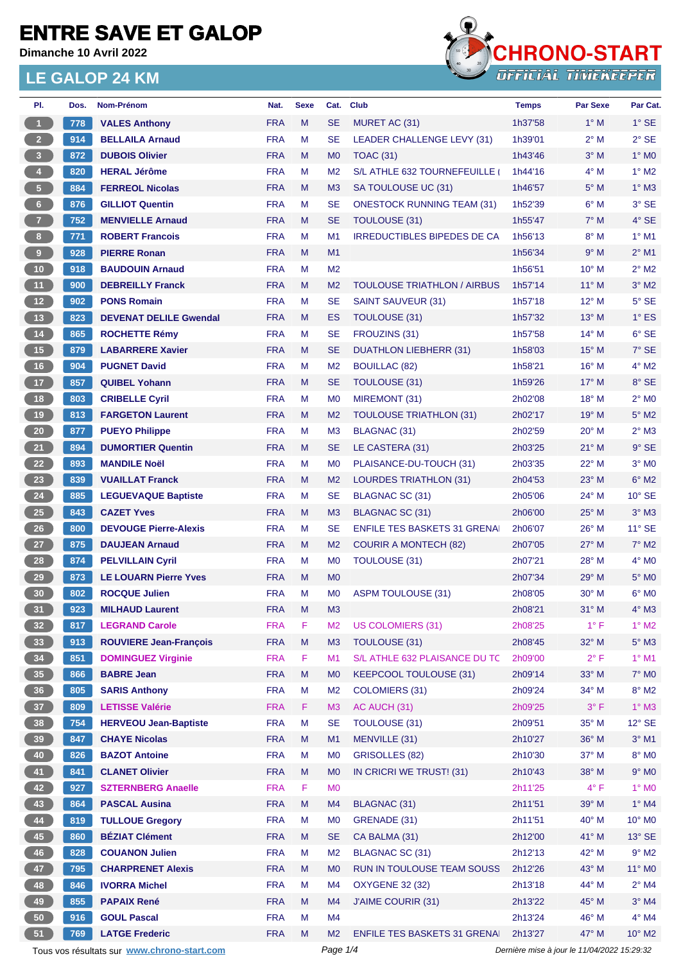**Dimanche 10 Avril 2022**



| PI.                     | Dos. | Nom-Prénom                                  | Nat.       | <b>Sexe</b> | Cat.           | <b>Club</b>                         | <b>Temps</b>                                | <b>Par Sexe</b> | Par Cat.        |
|-------------------------|------|---------------------------------------------|------------|-------------|----------------|-------------------------------------|---------------------------------------------|-----------------|-----------------|
| $\mathbf{1}$            | 778  | <b>VALES Anthony</b>                        | <b>FRA</b> | M           | <b>SE</b>      | MURET AC (31)                       | 1h37'58                                     | $1^\circ$ M     | $1^\circ$ SE    |
| 2 <sup>2</sup>          | 914  | <b>BELLAILA Arnaud</b>                      | <b>FRA</b> | M           | <b>SE</b>      | LEADER CHALLENGE LEVY (31)          | 1h39'01                                     | $2^{\circ}$ M   | $2°$ SE         |
| $\overline{\mathbf{3}}$ | 872  | <b>DUBOIS Olivier</b>                       | <b>FRA</b> | M           | M <sub>0</sub> | <b>TOAC (31)</b>                    | 1h43'46                                     | $3°$ M          | $1^\circ$ MO    |
| 4 <sup>1</sup>          | 820  | <b>HERAL Jérôme</b>                         | <b>FRA</b> | M           | M <sub>2</sub> | S/L ATHLE 632 TOURNEFEUILLE (       | 1h44'16                                     | $4^\circ$ M     | $1^\circ$ M2    |
| $\sqrt{5}$              | 884  | <b>FERREOL Nicolas</b>                      | <b>FRA</b> | M           | M3             | SA TOULOUSE UC (31)                 | 1h46'57                                     | $5^\circ$ M     | $1^\circ$ M3    |
| 6 <sup>1</sup>          | 876  | <b>GILLIOT Quentin</b>                      | <b>FRA</b> | м           | <b>SE</b>      | <b>ONESTOCK RUNNING TEAM (31)</b>   | 1h52'39                                     | $6^\circ$ M     | $3°$ SE         |
| 7 <sup>2</sup>          | 752  | <b>MENVIELLE Arnaud</b>                     | <b>FRA</b> | M           | <b>SE</b>      | TOULOUSE (31)                       | 1h55'47                                     | $7^\circ$ M     | $4°$ SE         |
| 8 <sub>1</sub>          | 771  | <b>ROBERT Francois</b>                      | <b>FRA</b> | M           | M1             | <b>IRREDUCTIBLES BIPEDES DE CA</b>  | 1h56'13                                     | $8^\circ$ M     | $1°$ M1         |
| 9                       | 928  | <b>PIERRE Ronan</b>                         | <b>FRA</b> | M           | M1             |                                     | 1h56'34                                     | 9° M            | $2^{\circ}$ M1  |
| $10$                    | 918  | <b>BAUDOUIN Arnaud</b>                      | <b>FRA</b> | M           | M <sub>2</sub> |                                     | 1h56'51                                     | $10^{\circ}$ M  | $2^{\circ}$ M2  |
| 11                      | 900  | <b>DEBREILLY Franck</b>                     | <b>FRA</b> | M           | M <sub>2</sub> | <b>TOULOUSE TRIATHLON / AIRBUS</b>  | 1h57'14                                     | $11^{\circ}$ M  | $3^\circ$ M2    |
| 12                      | 902  | <b>PONS Romain</b>                          | <b>FRA</b> | M           | <b>SE</b>      | <b>SAINT SAUVEUR (31)</b>           | 1h57'18                                     | $12^{\circ}$ M  | $5^\circ$ SE    |
| 13                      | 823  | <b>DEVENAT DELILE Gwendal</b>               | <b>FRA</b> | M           | <b>ES</b>      | TOULOUSE (31)                       | 1h57'32                                     | $13^{\circ}$ M  | $1^\circ$ ES    |
| $14$                    | 865  | <b>ROCHETTE Rémy</b>                        | <b>FRA</b> | M           | <b>SE</b>      | FROUZINS (31)                       | 1h57'58                                     | $14^{\circ}$ M  | $6°$ SE         |
| 15                      | 879  | <b>LABARRERE Xavier</b>                     | <b>FRA</b> | M           | <b>SE</b>      | DUATHLON LIEBHERR (31)              | 1h58'03                                     | 15° M           | $7°$ SE         |
| 16                      | 904  | <b>PUGNET David</b>                         | <b>FRA</b> | M           | M <sub>2</sub> | <b>BOUILLAC (82)</b>                | 1h58'21                                     | $16^{\circ}$ M  | $4^\circ$ M2    |
| $17$                    | 857  | <b>QUIBEL Yohann</b>                        | <b>FRA</b> | М           | <b>SE</b>      | TOULOUSE (31)                       | 1h59'26                                     | $17^\circ$ M    | 8° SE           |
| 18                      | 803  | <b>CRIBELLE Cyril</b>                       | <b>FRA</b> | M           | M <sub>0</sub> | MIREMONT (31)                       | 2h02'08                                     | $18^{\circ}$ M  | $2^{\circ}$ MO  |
| 19                      | 813  | <b>FARGETON Laurent</b>                     | <b>FRA</b> | M           | M <sub>2</sub> | <b>TOULOUSE TRIATHLON (31)</b>      | 2h02'17                                     | $19^{\circ}$ M  | $5^\circ$ M2    |
| 20                      | 877  | <b>PUEYO Philippe</b>                       | <b>FRA</b> | м           | M <sub>3</sub> | <b>BLAGNAC (31)</b>                 | 2h02'59                                     | $20^{\circ}$ M  | $2^{\circ}$ M3  |
| 21                      | 894  | <b>DUMORTIER Quentin</b>                    | <b>FRA</b> | M           | <b>SE</b>      | LE CASTERA (31)                     | 2h03'25                                     | $21°$ M         | $9°$ SE         |
| 22                      | 893  | <b>MANDILE Noël</b>                         | <b>FRA</b> | м           | M <sub>0</sub> | PLAISANCE-DU-TOUCH (31)             | 2h03'35                                     | $22^{\circ}$ M  | $3°$ MO         |
| 23                      | 839  | <b>VUAILLAT Franck</b>                      | <b>FRA</b> | M           | M <sub>2</sub> | <b>LOURDES TRIATHLON (31)</b>       | 2h04'53                                     | 23° M           | $6^\circ$ M2    |
| 24                      | 885  | <b>LEGUEVAQUE Baptiste</b>                  | <b>FRA</b> | M           | <b>SE</b>      | BLAGNAC SC (31)                     | 2h05'06                                     | 24° M           | $10^{\circ}$ SE |
| 25                      | 843  | <b>CAZET Yves</b>                           | <b>FRA</b> | M           | M <sub>3</sub> | BLAGNAC SC (31)                     | 2h06'00                                     | $25^{\circ}$ M  | $3^\circ$ M3    |
| 26                      | 800  | <b>DEVOUGE Pierre-Alexis</b>                | <b>FRA</b> | M           | <b>SE</b>      | <b>ENFILE TES BASKETS 31 GRENAL</b> | 2h06'07                                     | 26° M           | $11^{\circ}$ SE |
| 27                      | 875  | <b>DAUJEAN Arnaud</b>                       | <b>FRA</b> | M           | M <sub>2</sub> | <b>COURIR A MONTECH (82)</b>        | 2h07'05                                     | $27^\circ$ M    | $7^\circ$ M2    |
| 28                      | 874  | <b>PELVILLAIN Cyril</b>                     | <b>FRA</b> | м           | M <sub>0</sub> | <b>TOULOUSE (31)</b>                | 2h07'21                                     | 28° M           | $4^\circ$ MO    |
| 29                      | 873  | <b>LE LOUARN Pierre Yves</b>                | <b>FRA</b> | M           | M <sub>0</sub> |                                     | 2h07'34                                     | $29^\circ$ M    | $5^\circ$ MO    |
| 30                      | 802  | <b>ROCQUE Julien</b>                        | <b>FRA</b> | M           | M <sub>0</sub> | <b>ASPM TOULOUSE (31)</b>           | 2h08'05                                     | $30^\circ$ M    | $6^{\circ}$ MO  |
| 31                      | 923  | <b>MILHAUD Laurent</b>                      | <b>FRA</b> | M           | M <sub>3</sub> |                                     | 2h08'21                                     | $31^\circ$ M    | $4^\circ$ M3    |
| 32 <sub>2</sub>         | 817  | <b>LEGRAND Carole</b>                       | <b>FRA</b> | F           | M <sub>2</sub> | <b>US COLOMIERS (31)</b>            | 2h08'25                                     | $1^{\circ}$ F   | $1^\circ$ M2    |
| 33                      | 913  | <b>ROUVIERE Jean-François</b>               | <b>FRA</b> | M           | M <sub>3</sub> | TOULOUSE (31)                       | 2h08'45                                     | 32° M           | $5^\circ$ M3    |
| 34                      | 851  | <b>DOMINGUEZ Virginie</b>                   | <b>FRA</b> | F           | M1             | S/L ATHLE 632 PLAISANCE DU TC       | 2h09'00                                     | $2^{\circ}$ F   | $1°$ M1         |
| 35                      | 866  | <b>BABRE Jean</b>                           | <b>FRA</b> | M           | M <sub>0</sub> | <b>KEEPCOOL TOULOUSE (31)</b>       | 2h09'14                                     | 33° M           | $7^\circ$ MO    |
| 36                      | 805  | <b>SARIS Anthony</b>                        | <b>FRA</b> | M           | M <sub>2</sub> | COLOMIERS (31)                      | 2h09'24                                     | 34° M           | $8^\circ$ M2    |
| 37 <sup>°</sup>         | 809  | <b>LETISSE Valérie</b>                      | <b>FRA</b> | F           | M <sub>3</sub> | AC AUCH (31)                        | 2h09'25                                     | $3^{\circ}$ F   | $1^\circ$ M3    |
| 38                      | 754  | <b>HERVEOU Jean-Baptiste</b>                | <b>FRA</b> | M           | <b>SE</b>      | TOULOUSE (31)                       | 2h09'51                                     | 35° M           | $12^{\circ}$ SE |
| 39                      | 847  | <b>CHAYE Nicolas</b>                        | <b>FRA</b> | M           | M1             | MENVILLE (31)                       | 2h10'27                                     | 36° M           | $3°$ M1         |
| 40                      | 826  | <b>BAZOT Antoine</b>                        | <b>FRA</b> | M           | M <sub>0</sub> | <b>GRISOLLES (82)</b>               | 2h10'30                                     | 37° M           | 8° MO           |
| 41                      | 841  | <b>CLANET Olivier</b>                       | <b>FRA</b> | M           | M <sub>0</sub> | IN CRICRI WE TRUST! (31)            | 2h10'43                                     | 38° M           | $9^\circ$ MO    |
| 42                      | 927  | <b>SZTERNBERG Anaelle</b>                   | <b>FRA</b> | F           | M <sub>0</sub> |                                     | 2h11'25                                     | $4^{\circ}$ F   | $1^\circ$ MO    |
| 43                      | 864  | <b>PASCAL Ausina</b>                        | <b>FRA</b> | ${\sf M}$   | M4             | <b>BLAGNAC (31)</b>                 | 2h11'51                                     | 39° M           | $1^\circ$ M4    |
| 44                      | 819  | <b>TULLOUE Gregory</b>                      | <b>FRA</b> | M           | M <sub>0</sub> | GRENADE (31)                        | 2h11'51                                     | $40^{\circ}$ M  | 10° MO          |
| 45                      | 860  | <b>BÉZIAT Clément</b>                       | <b>FRA</b> | M           | <b>SE</b>      | CA BALMA (31)                       | 2h12'00                                     | 41° M           | $13^\circ$ SE   |
| 46                      | 828  | <b>COUANON Julien</b>                       | <b>FRA</b> | M           | M <sub>2</sub> | BLAGNAC SC (31)                     | 2h12'13                                     | 42° M           | $9^\circ$ M2    |
| 47                      | 795  | <b>CHARPRENET Alexis</b>                    | <b>FRA</b> | M           | M <sub>0</sub> | RUN IN TOULOUSE TEAM SOUSS          | 2h12'26                                     | 43° M           | 11° MO          |
| 48                      | 846  | <b>IVORRA Michel</b>                        | <b>FRA</b> | М           | M4             | <b>OXYGENE 32 (32)</b>              | 2h13'18                                     | 44° M           | $2^{\circ}$ M4  |
| 49                      | 855  | <b>PAPAIX René</b>                          | <b>FRA</b> | M           | M4             | <b>J'AIME COURIR (31)</b>           | 2h13'22                                     | 45° M           | $3^\circ$ M4    |
| 50                      | 916  | <b>GOUL Pascal</b>                          | <b>FRA</b> | M           | M4             |                                     | 2h13'24                                     | 46° M           | $4^\circ$ M4    |
| 51                      | 769  | <b>LATGE Frederic</b>                       | <b>FRA</b> | M           | M <sub>2</sub> | <b>ENFILE TES BASKETS 31 GRENAL</b> | 2h13'27                                     | 47° M           | 10° M2          |
|                         |      | Tous vos résultats sur www.chrono-start.com |            |             | Page 1/4       |                                     | Dernière mise à jour le 11/04/2022 15:29:32 |                 |                 |
|                         |      |                                             |            |             |                |                                     |                                             |                 |                 |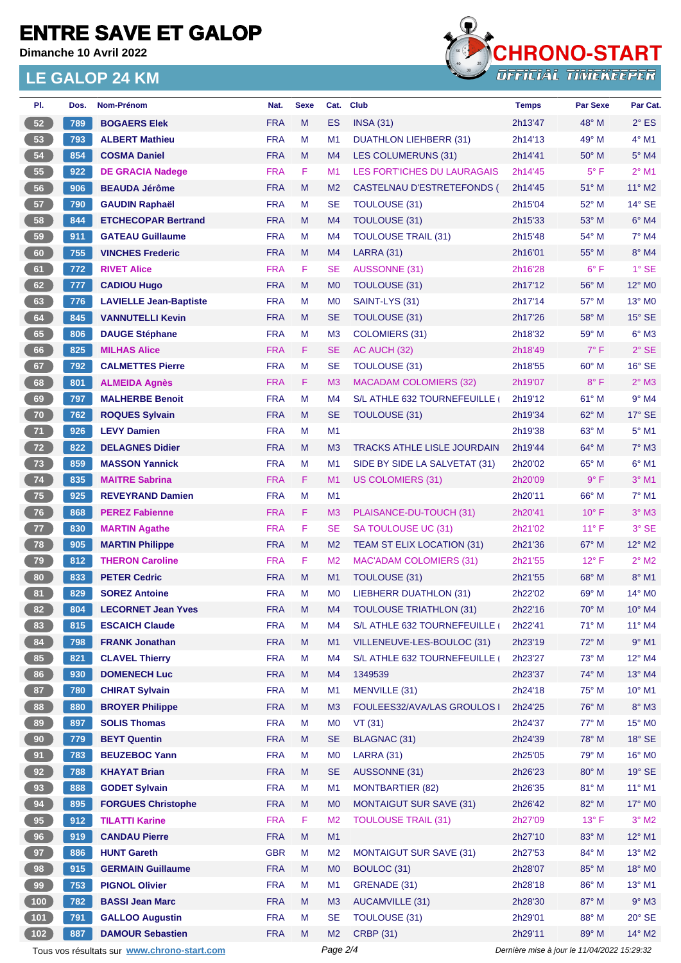**Dimanche 10 Avril 2022**



| PI.              | Dos. | Nom-Prénom                                  | Nat.                     | <b>Sexe</b>                                 | Cat.                        | <b>Club</b>                        | <b>Temps</b>       | <b>Par Sexe</b> | Par Cat.           |
|------------------|------|---------------------------------------------|--------------------------|---------------------------------------------|-----------------------------|------------------------------------|--------------------|-----------------|--------------------|
| 52               | 789  | <b>BOGAERS Elek</b>                         | <b>FRA</b>               | M                                           | <b>ES</b>                   | <b>INSA (31)</b>                   | 2h13'47            | 48° M           | $2^{\circ}$ ES     |
| 53               | 793  | <b>ALBERT Mathieu</b>                       | <b>FRA</b>               | M                                           | M <sub>1</sub>              | <b>DUATHLON LIEHBERR (31)</b>      | 2h14'13            | 49° M           | $4^\circ$ M1       |
| 54               | 854  | <b>COSMA Daniel</b>                         | <b>FRA</b>               | M                                           | M <sub>4</sub>              | <b>LES COLUMERUNS (31)</b>         | 2h14'41            | $50^\circ$ M    | $5^\circ$ M4       |
| 55               | 922  | <b>DE GRACIA Nadege</b>                     | <b>FRA</b>               | F                                           | M1                          | <b>LES FORT'ICHES DU LAURAGAIS</b> | 2h14'45            | $5^{\circ}$ F   | $2^{\circ}$ M1     |
| 56               | 906  | <b>BEAUDA Jérôme</b>                        | <b>FRA</b>               | M                                           | M <sub>2</sub>              | CASTELNAU D'ESTRETEFONDS (         | 2h14'45            | 51° M           | 11° M2             |
| 57               | 790  | <b>GAUDIN Raphaël</b>                       | <b>FRA</b>               | м                                           | <b>SE</b>                   | <b>TOULOUSE (31)</b>               | 2h15'04            | 52° M           | $14^{\circ}$ SE    |
| 58               | 844  | <b>ETCHECOPAR Bertrand</b>                  | <b>FRA</b>               | M                                           | M4                          | <b>TOULOUSE (31)</b>               | 2h15'33            | 53° M           | $6°$ M4            |
| 59               | 911  | <b>GATEAU Guillaume</b>                     | <b>FRA</b>               | м                                           | M <sub>4</sub>              | <b>TOULOUSE TRAIL (31)</b>         | 2h15'48            | 54° M           | $7^\circ$ M4       |
| 60               | 755  | <b>VINCHES Frederic</b>                     | <b>FRA</b>               | M                                           | M <sub>4</sub>              | <b>LARRA (31)</b>                  | 2h16'01            | $55^{\circ}$ M  | 8° M4              |
| 61               | 772  | <b>RIVET Alice</b>                          | <b>FRA</b>               | F                                           | <b>SE</b>                   | <b>AUSSONNE (31)</b>               | 2h16'28            | $6^{\circ}$ F   | $1°$ SE            |
| 62               | 777  | <b>CADIOU Hugo</b>                          | <b>FRA</b>               | M                                           | M <sub>0</sub>              | TOULOUSE (31)                      | 2h17'12            | 56° M           | 12° M <sub>0</sub> |
| 63               | 776  | <b>LAVIELLE Jean-Baptiste</b>               | <b>FRA</b>               | М                                           | M <sub>0</sub>              | SAINT-LYS (31)                     | 2h17'14            | 57° M           | 13° MO             |
| 64               | 845  | <b>VANNUTELLI Kevin</b>                     | <b>FRA</b>               | M                                           | <b>SE</b>                   | <b>TOULOUSE (31)</b>               | 2h17'26            | 58° M           | $15^\circ$ SE      |
| 65               | 806  | <b>DAUGE Stéphane</b>                       | <b>FRA</b>               | M                                           | M <sub>3</sub>              | <b>COLOMIERS (31)</b>              | 2h18'32            | 59° M           | $6^\circ$ M3       |
| 66               | 825  | <b>MILHAS Alice</b>                         | <b>FRA</b>               | F                                           | <b>SE</b>                   | AC AUCH (32)                       | 2h18'49            | $7^\circ$ F     | $2°$ SE            |
| 67               | 792  | <b>CALMETTES Pierre</b>                     | <b>FRA</b>               | M                                           | <b>SE</b>                   | <b>TOULOUSE (31)</b>               | 2h18'55            | 60° M           | $16°$ SE           |
| 68               | 801  | <b>ALMEIDA Agnès</b>                        | <b>FRA</b>               | F.                                          | M <sub>3</sub>              | <b>MACADAM COLOMIERS (32)</b>      | 2h19'07            | $8^{\circ}$ F   | $2^{\circ}$ M3     |
| 69               | 797  | <b>MALHERBE Benoit</b>                      | <b>FRA</b>               | M                                           | M4                          | S/L ATHLE 632 TOURNEFEUILLE (      | 2h19'12            | 61° M           | $9°$ M4            |
| 70               | 762  | <b>ROQUES Sylvain</b>                       | <b>FRA</b>               | M                                           | <b>SE</b>                   | TOULOUSE (31)                      | 2h19'34            | 62° M           | $17^\circ$ SE      |
| 71               | 926  | <b>LEVY Damien</b>                          | <b>FRA</b>               | M                                           | M <sub>1</sub>              |                                    | 2h19'38            | 63° M           | $5^{\circ}$ M1     |
| 72               | 822  | <b>DELAGNES Didier</b>                      | <b>FRA</b>               | M                                           | M <sub>3</sub>              | <b>TRACKS ATHLE LISLE JOURDAIN</b> | 2h19'44            | $64^{\circ}$ M  | $7^\circ$ M3       |
| 73               | 859  | <b>MASSON Yannick</b>                       | <b>FRA</b>               | M                                           | M <sub>1</sub>              | SIDE BY SIDE LA SALVETAT (31)      | 2h20'02            | 65° M           | $6^{\circ}$ M1     |
| 74               | 835  | <b>MAITRE Sabrina</b>                       | <b>FRA</b>               | F                                           | M1                          | US COLOMIERS (31)                  | 2h20'09            | 9° F            | $3°$ M1            |
| 75               | 925  | <b>REVEYRAND Damien</b>                     | <b>FRA</b>               | M                                           | M <sub>1</sub>              |                                    | 2h20'11            | 66° M           | 7° M1              |
| 76               | 868  | <b>PEREZ Fabienne</b>                       | <b>FRA</b>               | F                                           | M <sub>3</sub>              | PLAISANCE-DU-TOUCH (31)            | 2h20'41            | $10^{\circ}$ F  | $3°$ M $3$         |
| 77               | 830  | <b>MARTIN Agathe</b>                        | <b>FRA</b>               | F                                           | <b>SE</b>                   | SA TOULOUSE UC (31)                | 2h21'02            | $11^{\circ}$ F  | 3° SE              |
| 78               | 905  | <b>MARTIN Philippe</b>                      | <b>FRA</b>               | M                                           | M <sub>2</sub>              | TEAM ST ELIX LOCATION (31)         | 2h21'36            | 67° M           | 12° M2             |
| 79               | 812  | <b>THERON Caroline</b>                      | <b>FRA</b>               | F                                           | M <sub>2</sub>              | <b>MAC'ADAM COLOMIERS (31)</b>     | 2h21'55            | $12^{\circ}$ F  | $2^{\circ}$ M2     |
| 80               | 833  | <b>PETER Cedric</b>                         | <b>FRA</b>               | M                                           | M1                          | TOULOUSE (31)                      | 2h21'55            | 68° M           | $8^\circ$ M1       |
| 81               | 829  | <b>SOREZ Antoine</b>                        | <b>FRA</b>               | M                                           | M <sub>0</sub>              | <b>LIEBHERR DUATHLON (31)</b>      | 2h22'02            | $69^\circ$ M    | $14^{\circ}$ MO    |
| 82               | 804  | <b>LECORNET Jean Yves</b>                   | <b>FRA</b>               | M                                           | M4                          | <b>TOULOUSE TRIATHLON (31)</b>     | 2h22'16            | 70° M           | $10^{\circ}$ M4    |
| 83               | 815  | <b>ESCAICH Claude</b>                       | <b>FRA</b>               | M                                           | M4                          | S/L ATHLE 632 TOURNEFEUILLE (      | 2h22'41            | 71° M           | 11° M4             |
| 84               | 798  | <b>FRANK Jonathan</b>                       | <b>FRA</b>               | M                                           | M1                          | VILLENEUVE-LES-BOULOC (31)         | 2h23'19            | 72° M           | $9°$ M1            |
| 85               | 821  | <b>CLAVEL Thierry</b>                       | <b>FRA</b>               | M                                           | M4                          | S/L ATHLE 632 TOURNEFEUILLE (      | 2h23'27            | 73° M           | 12° M4             |
| 86               | 930  | <b>DOMENECH Luc</b>                         | <b>FRA</b>               | M                                           | M4                          | 1349539                            | 2h23'37            | 74° M           | 13° M4             |
| 87               | 780  | <b>CHIRAT Sylvain</b>                       | <b>FRA</b>               | М                                           | M1                          | <b>MENVILLE (31)</b>               | 2h24'18            | 75° M           | 10° M1             |
| 88               | 880  | <b>BROYER Philippe</b>                      | <b>FRA</b>               | M                                           | M <sub>3</sub>              | FOULEES32/AVA/LAS GROULOS I        | 2h24'25            | 76° M           | $8^\circ$ M3       |
| 89               | 897  | <b>SOLIS Thomas</b>                         | <b>FRA</b>               | M                                           |                             | VT(31)                             |                    | 77° M           | 15° MO             |
| 90               |      | <b>BEYT Quentin</b>                         | <b>FRA</b>               | M                                           | M <sub>0</sub><br><b>SE</b> | <b>BLAGNAC (31)</b>                | 2h24'37<br>2h24'39 | 78° M           | $18^\circ$ SE      |
|                  | 779  |                                             |                          | M                                           |                             |                                    |                    | 79° M           |                    |
| 91               | 783  | <b>BEUZEBOC Yann</b>                        | <b>FRA</b><br><b>FRA</b> | M                                           | M <sub>0</sub><br><b>SE</b> | <b>LARRA (31)</b>                  | 2h25'05            | 80° M           | 16° MO             |
| 92               | 788  | <b>KHAYAT Brian</b>                         |                          |                                             |                             | AUSSONNE (31)                      | 2h26'23            |                 | $19^\circ$ SE      |
| 93               | 888  | <b>GODET Sylvain</b>                        | <b>FRA</b>               | М                                           | M1                          | <b>MONTBARTIER (82)</b>            | 2h26'35            | 81° M           | $11^{\circ}$ M1    |
| 94               | 895  | <b>FORGUES Christophe</b>                   | <b>FRA</b>               | M                                           | M <sub>0</sub>              | <b>MONTAIGUT SUR SAVE (31)</b>     | 2h26'42            | 82° M           | 17° M0             |
| 95               | 912  | <b>TILATTI Karine</b>                       | <b>FRA</b>               | F                                           | M <sub>2</sub>              | <b>TOULOUSE TRAIL (31)</b>         | 2h27'09            | $13^{\circ}$ F  | $3^\circ$ M2       |
| 96               | 919  | <b>CANDAU Pierre</b>                        | <b>FRA</b>               | M                                           | M1                          |                                    | 2h27'10            | 83° M           | 12° M1             |
| 97               | 886  | <b>HUNT Gareth</b>                          | <b>GBR</b>               | M                                           | M <sub>2</sub>              | <b>MONTAIGUT SUR SAVE (31)</b>     | 2h27'53            | 84° M           | $13^{\circ}$ M2    |
| 98               | 915  | <b>GERMAIN Guillaume</b>                    | <b>FRA</b>               | M                                           | M <sub>0</sub>              | BOULOC (31)                        | 2h28'07            | 85° M           | 18° MO             |
| 99               | 753  | <b>PIGNOL Olivier</b>                       | <b>FRA</b>               | M                                           | M <sub>1</sub>              | GRENADE (31)                       | 2h28'18            | 86° M           | 13° M1             |
| (100)            | 782  | <b>BASSI Jean Marc</b>                      | <b>FRA</b>               | M                                           | M <sub>3</sub>              | <b>AUCAMVILLE (31)</b>             | 2h28'30            | 87° M           | $9°$ M3            |
| $\overline{101}$ | 791  | <b>GALLOO Augustin</b>                      | <b>FRA</b>               | М                                           | <b>SE</b>                   | <b>TOULOUSE (31)</b>               | 2h29'01            | 88° M           | $20^\circ$ SE      |
| (102)            | 887  | <b>DAMOUR Sebastien</b>                     | <b>FRA</b>               | M                                           | M <sub>2</sub>              | <b>CRBP (31)</b>                   | 2h29'11            | 89° M           | 14° M2             |
|                  |      | Tous vos résultats sur www.chrono-start.com | Page 2/4                 | Dernière mise à jour le 11/04/2022 15:29:32 |                             |                                    |                    |                 |                    |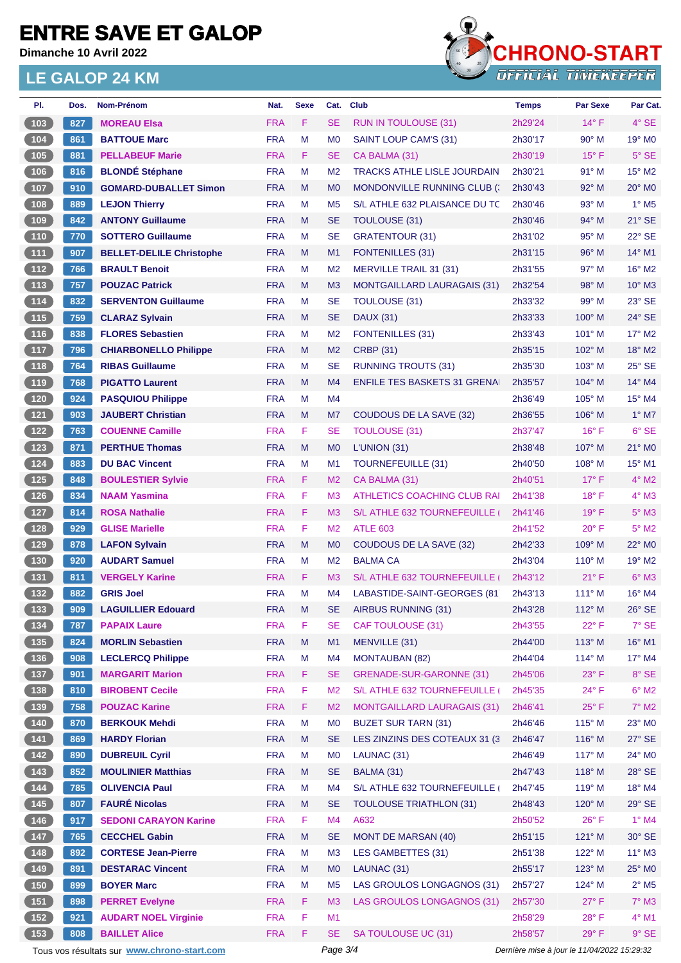**Dimanche 10 Avril 2022**



| PI.                                               | Dos. | Nom-Prénom                                  | Nat.       | <b>Sexe</b> | Cat.           | <b>Club</b>                         | <b>Temps</b> | <b>Par Sexe</b>                             | Par Cat.                 |
|---------------------------------------------------|------|---------------------------------------------|------------|-------------|----------------|-------------------------------------|--------------|---------------------------------------------|--------------------------|
| (103)                                             | 827  | <b>MOREAU Elsa</b>                          | <b>FRA</b> | F           | <b>SE</b>      | <b>RUN IN TOULOUSE (31)</b>         | 2h29'24      | $14^{\circ}$ F                              | $4°$ SE                  |
| $104$                                             | 861  | <b>BATTOUE Marc</b>                         | <b>FRA</b> | M           | M <sub>0</sub> | SAINT LOUP CAM'S (31)               | 2h30'17      | 90° M                                       | 19° M <sub>0</sub>       |
| (105)                                             | 881  | <b>PELLABEUF Marie</b>                      | <b>FRA</b> | F           | <b>SE</b>      | CA BALMA (31)                       | 2h30'19      | $15^{\circ}$ F                              | $5^\circ$ SE             |
| $106$                                             | 816  | <b>BLONDÉ Stéphane</b>                      | <b>FRA</b> | M           | M <sub>2</sub> | <b>TRACKS ATHLE LISLE JOURDAIN</b>  | 2h30'21      | 91° M                                       | $15^\circ$ M2            |
| (107)                                             | 910  | <b>GOMARD-DUBALLET Simon</b>                | <b>FRA</b> | M           | M <sub>0</sub> | MONDONVILLE RUNNING CLUB (          | 2h30'43      | $92^\circ$ M                                | 20° M <sub>0</sub>       |
| 108                                               | 889  | <b>LEJON Thierry</b>                        | <b>FRA</b> | M           | M <sub>5</sub> | S/L ATHLE 632 PLAISANCE DU TC       | 2h30'46      | 93° M                                       | $1^\circ$ M <sub>5</sub> |
| (109)                                             | 842  | <b>ANTONY Guillaume</b>                     | <b>FRA</b> | M           | <b>SE</b>      | <b>TOULOUSE (31)</b>                | 2h30'46      | $94^\circ$ M                                | $21^\circ$ SE            |
| (110)                                             | 770  | <b>SOTTERO Guillaume</b>                    | <b>FRA</b> | М           | <b>SE</b>      | <b>GRATENTOUR (31)</b>              | 2h31'02      | $95^\circ$ M                                | 22° SE                   |
| (111)                                             | 907  | <b>BELLET-DELILE Christophe</b>             | <b>FRA</b> | M           | M <sub>1</sub> | <b>FONTENILLES (31)</b>             | 2h31'15      | 96° M                                       | $14^{\circ}$ M1          |
| (112)                                             | 766  | <b>BRAULT Benoit</b>                        | <b>FRA</b> | M           | M <sub>2</sub> | <b>MERVILLE TRAIL 31 (31)</b>       | 2h31'55      | 97° M                                       | $16^\circ$ M2            |
| (113)                                             | 757  | <b>POUZAC Patrick</b>                       | <b>FRA</b> | M           | M <sub>3</sub> | <b>MONTGAILLARD LAURAGAIS (31)</b>  | 2h32'54      | $98^\circ$ M                                | 10° M3                   |
| (114)                                             | 832  | <b>SERVENTON Guillaume</b>                  | <b>FRA</b> | М           | <b>SE</b>      | <b>TOULOUSE (31)</b>                | 2h33'32      | 99° M                                       | 23° SE                   |
| (115)                                             | 759  | <b>CLARAZ Sylvain</b>                       | <b>FRA</b> | M           | <b>SE</b>      | <b>DAUX (31)</b>                    | 2h33'33      | $100^\circ$ M                               | $24^{\circ}$ SE          |
| $116$                                             | 838  | <b>FLORES Sebastien</b>                     | <b>FRA</b> | М           | M <sub>2</sub> | <b>FONTENILLES (31)</b>             | 2h33'43      | 101° M                                      | $17^{\circ}$ M2          |
| $\boxed{117}$                                     | 796  | <b>CHIARBONELLO Philippe</b>                | <b>FRA</b> | M           | M <sub>2</sub> | <b>CRBP (31)</b>                    | 2h35'15      | $102^\circ$ M                               | 18° M2                   |
| (118)                                             | 764  | <b>RIBAS Guillaume</b>                      | <b>FRA</b> | M           | <b>SE</b>      | <b>RUNNING TROUTS (31)</b>          | 2h35'30      | $103^\circ$ M                               | $25^\circ$ SE            |
| (119)                                             | 768  | <b>PIGATTO Laurent</b>                      | <b>FRA</b> | M           | M <sub>4</sub> | <b>ENFILE TES BASKETS 31 GRENAL</b> | 2h35'57      | $104^\circ$ M                               | 14° M4                   |
| $\begin{array}{c} \n \textbf{120} \n \end{array}$ | 924  | <b>PASQUIOU Philippe</b>                    | <b>FRA</b> | М           | M4             |                                     | 2h36'49      | 105° M                                      | 15° M4                   |
| (121)                                             | 903  | <b>JAUBERT Christian</b>                    | <b>FRA</b> | M           | M7             | COUDOUS DE LA SAVE (32)             | 2h36'55      | $106^\circ$ M                               | $1^\circ$ M7             |
| 122                                               | 763  | <b>COUENNE Camille</b>                      | <b>FRA</b> | F           | <b>SE</b>      | <b>TOULOUSE (31)</b>                | 2h37'47      | $16^{\circ}$ F                              | $6°$ SE                  |
| (123)                                             | 871  | <b>PERTHUE Thomas</b>                       | <b>FRA</b> | M           | M <sub>0</sub> | L'UNION (31)                        | 2h38'48      | $107^\circ$ M                               | $21^\circ$ MO            |
| $124$                                             | 883  | <b>DU BAC Vincent</b>                       | <b>FRA</b> | M           | M1             | <b>TOURNEFEUILLE (31)</b>           | 2h40'50      | 108° M                                      | 15° M1                   |
| (125)                                             | 848  | <b>BOULESTIER Sylvie</b>                    | <b>FRA</b> | F.          | M <sub>2</sub> | CA BALMA (31)                       | 2h40'51      | $17^\circ$ F                                | $4^\circ$ M2             |
| $126$                                             | 834  | <b>NAAM Yasmina</b>                         | <b>FRA</b> | F           | M <sub>3</sub> | ATHLETICS COACHING CLUB RAI         | 2h41'38      | $18°$ F                                     | $4^\circ$ M3             |
| 127                                               | 814  | <b>ROSA Nathalie</b>                        | <b>FRA</b> | F.          | M <sub>3</sub> | S/L ATHLE 632 TOURNEFEUILLE         | 2h41'46      | $19^{\circ}$ F                              | $5^\circ$ M3             |
| 128                                               | 929  | <b>GLISE Marielle</b>                       | <b>FRA</b> | F           | M <sub>2</sub> | <b>ATLE 603</b>                     | 2h41'52      | $20^{\circ}$ F                              | $5^\circ$ M2             |
| (129)                                             | 878  | <b>LAFON Sylvain</b>                        | <b>FRA</b> | M           | M <sub>0</sub> | <b>COUDOUS DE LA SAVE (32)</b>      | 2h42'33      | $109^\circ$ M                               | 22° M0                   |
| $\begin{array}{c} \n \textbf{130} \n \end{array}$ | 920  | <b>AUDART Samuel</b>                        | <b>FRA</b> | М           | M <sub>2</sub> | <b>BALMA CA</b>                     | 2h43'04      | $110^{\circ}$ M                             | 19° M2                   |
| (131)                                             | 811  | <b>VERGELY Karine</b>                       | <b>FRA</b> | F.          | M <sub>3</sub> | S/L ATHLE 632 TOURNEFEUILLE         | 2h43'12      | $21°$ F                                     | $6°$ M3                  |
| $132$                                             | 882  | <b>GRIS Joel</b>                            | <b>FRA</b> | M           | M4             | LABASTIDE-SAINT-GEORGES (81)        | 2h43'13      | $111^\circ$ M                               | $16^{\circ}$ M4          |
| (133)                                             | 909  | <b>LAGUILLIER Edouard</b>                   | <b>FRA</b> | M           | <b>SE</b>      | AIRBUS RUNNING (31)                 | 2h43'28      | 112° M                                      | 26° SE                   |
| $\begin{bmatrix} 134 \end{bmatrix}$               | 787  | <b>PAPAIX Laure</b>                         | <b>FRA</b> | F           | SE             | CAF TOULOUSE (31)                   | 2h43'55      | $22^{\circ}$ F                              | $7^\circ$ SE             |
| (135)                                             | 824  | <b>MORLIN Sebastien</b>                     | <b>FRA</b> | M           | M1             | MENVILLE (31)                       | 2h44'00      | $113^\circ$ M                               | 16° M1                   |
| $136$                                             | 908  | <b>LECLERCQ Philippe</b>                    | <b>FRA</b> | М           | M <sub>4</sub> | <b>MONTAUBAN (82)</b>               | 2h44'04      | $114^\circ$ M                               | 17° M4                   |
| (137)                                             | 901  | <b>MARGARIT Marion</b>                      | <b>FRA</b> | F           | <b>SE</b>      | <b>GRENADE-SUR-GARONNE (31)</b>     | 2h45'06      | $23^\circ$ F                                | 8° SE                    |
| $\begin{array}{c} \n \textbf{138}\n \end{array}$  | 810  | <b>BIROBENT Cecile</b>                      | <b>FRA</b> | F           | M <sub>2</sub> | S/L ATHLE 632 TOURNEFEUILLE (       | 2h45'35      | $24^{\circ}$ F                              | $6^\circ$ M2             |
| (139)                                             | 758  | <b>POUZAC Karine</b>                        | <b>FRA</b> | F           | M <sub>2</sub> | <b>MONTGAILLARD LAURAGAIS (31)</b>  | 2h46'41      | $25^{\circ}$ F                              | $7^\circ$ M2             |
| $140$                                             | 870  | <b>BERKOUK Mehdi</b>                        | <b>FRA</b> | М           | M <sub>0</sub> | <b>BUZET SUR TARN (31)</b>          | 2h46'46      | $115^\circ$ M                               | $23^\circ$ MO            |
| (141)                                             | 869  | <b>HARDY Florian</b>                        | <b>FRA</b> | M           | <b>SE</b>      | LES ZINZINS DES COTEAUX 31 (3)      | 2h46'47      | $116^\circ$ M                               | $27^\circ$ SE            |
| $142$                                             | 890  | <b>DUBREUIL Cyril</b>                       | <b>FRA</b> | M           | M <sub>0</sub> | LAUNAC (31)                         | 2h46'49      | $117^\circ$ M                               | 24° MO                   |
| (143)                                             | 852  | <b>MOULINIER Matthias</b>                   | <b>FRA</b> | M           | <b>SE</b>      | BALMA (31)                          | 2h47'43      | $118^\circ$ M                               | 28° SE                   |
|                                                   | 785  | <b>OLIVENCIA Paul</b>                       | <b>FRA</b> | М           | M4             | S/L ATHLE 632 TOURNEFEUILLE (       | 2h47'45      | 119° M                                      | 18° M4                   |
| (145)                                             | 807  | <b>FAURÉ Nicolas</b>                        | <b>FRA</b> | M           | <b>SE</b>      | <b>TOULOUSE TRIATHLON (31)</b>      | 2h48'43      | 120° M                                      | 29° SE                   |
| $146$                                             | 917  | <b>SEDONI CARAYON Karine</b>                | <b>FRA</b> | F           | M4             | A632                                | 2h50'52      | $26^{\circ}$ F                              | $1^\circ$ M4             |
| (147)                                             | 765  | <b>CECCHEL Gabin</b>                        | <b>FRA</b> | M           | <b>SE</b>      | <b>MONT DE MARSAN (40)</b>          | 2h51'15      | 121° M                                      | $30^\circ$ SE            |
| (148)                                             | 892  | <b>CORTESE Jean-Pierre</b>                  | <b>FRA</b> | M           | M <sub>3</sub> | LES GAMBETTES (31)                  | 2h51'38      | 122° M                                      | $11^{\circ}$ M3          |
| (149)                                             | 891  | <b>DESTARAC Vincent</b>                     | <b>FRA</b> | M           | M <sub>0</sub> | LAUNAC (31)                         | 2h55'17      | $123^\circ$ M                               | 25° MO                   |
| $150$                                             | 899  | <b>BOYER Marc</b>                           | <b>FRA</b> | M           | M <sub>5</sub> | LAS GROULOS LONGAGNOS (31)          | 2h57'27      | 124° M                                      | $2^{\circ}$ M5           |
| (151)                                             | 898  | <b>PERRET Evelyne</b>                       | <b>FRA</b> | F           | M <sub>3</sub> | LAS GROULOS LONGAGNOS (31)          | 2h57'30      | $27^\circ$ F                                | $7^\circ$ M3             |
| $152$                                             | 921  | <b>AUDART NOEL Virginie</b>                 | <b>FRA</b> | F           | M1             |                                     | 2h58'29      | $28^{\circ}$ F                              | 4° M1                    |
| (153)                                             | 808  | <b>BAILLET Alice</b>                        | <b>FRA</b> | F           | <b>SE</b>      | SA TOULOUSE UC (31)                 | 2h58'57      | 29°F                                        | $9°$ SE                  |
|                                                   |      | Tous vos résultats sur www.chrono-start.com |            |             | Page 3/4       |                                     |              | Dernière mise à jour le 11/04/2022 15:29:32 |                          |